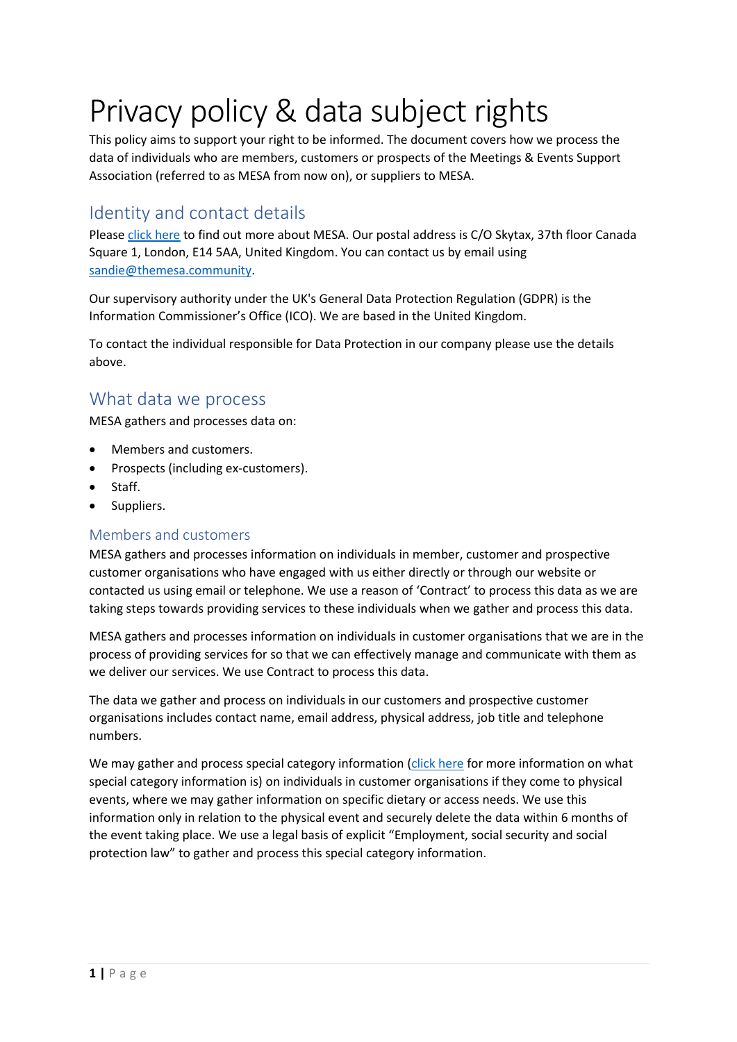# Privacy policy & data subject rights

This policy aims to support your right to be informed. The document covers how we process the data of individuals who are members, customers or prospects of the Meetings & Events Support Association (referred to as MESA from now on), or suppliers to MESA.

## Identity and contact details

Please [click here](https://themesa.community/mesa) to find out more about MESA. Our postal address is C/O Skytax, 37th floor Canada Square 1, London, E14 5AA, United Kingdom. You can contact us by email using [sandie@themesa.community.](mailto:sandie@themesa.community)

Our supervisory authority under the UK's General Data Protection Regulation (GDPR) is the Information Commissioner's Office (ICO). We are based in the United Kingdom.

To contact the individual responsible for Data Protection in our company please use the details above.

## What data we process

MESA gathers and processes data on:

- Members and customers.
- Prospects (including ex-customers).
- Staff.
- Suppliers.

#### Members and customers

MESA gathers and processes information on individuals in member, customer and prospective customer organisations who have engaged with us either directly or through our website or contacted us using email or telephone. We use a reason of 'Contract' to process this data as we are taking steps towards providing services to these individuals when we gather and process this data.

MESA gathers and processes information on individuals in customer organisations that we are in the process of providing services for so that we can effectively manage and communicate with them as we deliver our services. We use Contract to process this data.

The data we gather and process on individuals in our customers and prospective customer organisations includes contact name, email address, physical address, job title and telephone numbers.

We may gather and process special category information [\(click here](https://ico.org.uk/for-organisations/guide-to-data-protection/guide-to-the-general-data-protection-regulation-gdpr/lawful-basis-for-processing/special-category-data/) for more information on what special category information is) on individuals in customer organisations if they come to physical events, where we may gather information on specific dietary or access needs. We use this information only in relation to the physical event and securely delete the data within 6 months of the event taking place. We use a legal basis of explicit "Employment, social security and social protection law" to gather and process this special category information.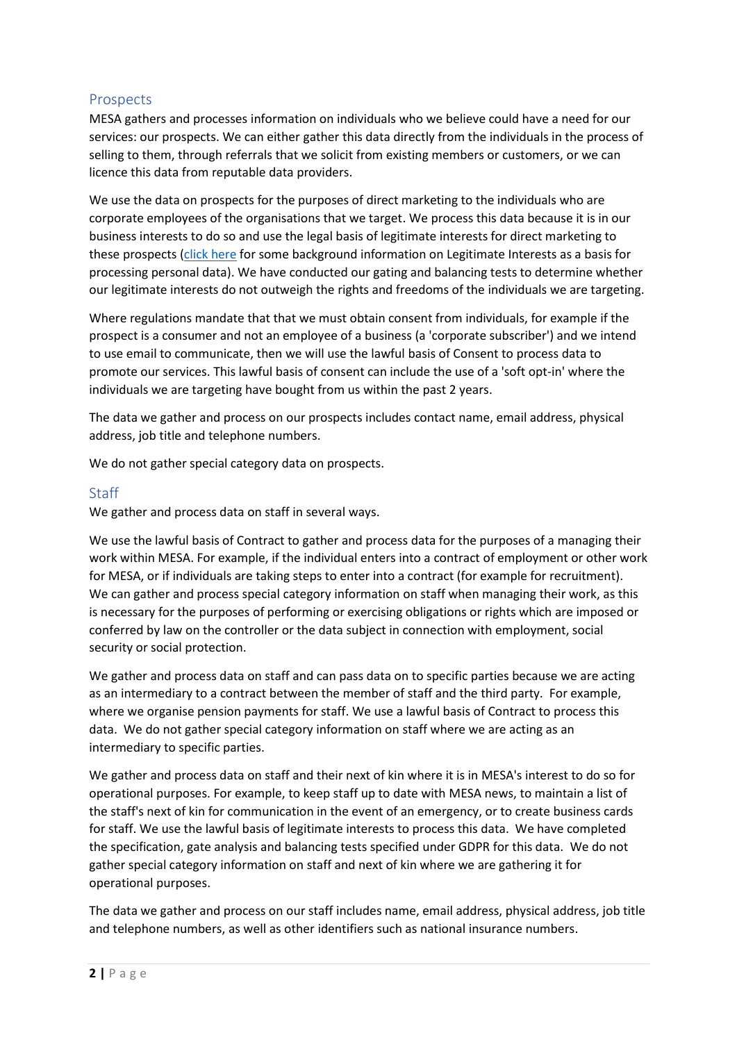#### Prospects

MESA gathers and processes information on individuals who we believe could have a need for our services: our prospects. We can either gather this data directly from the individuals in the process of selling to them, through referrals that we solicit from existing members or customers, or we can licence this data from reputable data providers.

We use the data on prospects for the purposes of direct marketing to the individuals who are corporate employees of the organisations that we target. We process this data because it is in our business interests to do so and use the legal basis of legitimate interests for direct marketing to these prospects [\(click here](https://ico.org.uk/for-organisations/guide-to-data-protection/guide-to-the-general-data-protection-regulation-gdpr/lawful-basis-for-processing/legitimate-interests/) for some background information on Legitimate Interests as a basis for processing personal data). We have conducted our gating and balancing tests to determine whether our legitimate interests do not outweigh the rights and freedoms of the individuals we are targeting.

Where regulations mandate that that we must obtain consent from individuals, for example if the prospect is a consumer and not an employee of a business (a 'corporate subscriber') and we intend to use email to communicate, then we will use the lawful basis of Consent to process data to promote our services. This lawful basis of consent can include the use of a 'soft opt-in' where the individuals we are targeting have bought from us within the past 2 years.

The data we gather and process on our prospects includes contact name, email address, physical address, job title and telephone numbers.

We do not gather special category data on prospects.

#### **Staff**

We gather and process data on staff in several ways.

We use the lawful basis of Contract to gather and process data for the purposes of a managing their work within MESA. For example, if the individual enters into a contract of employment or other work for MESA, or if individuals are taking steps to enter into a contract (for example for recruitment). We can gather and process special category information on staff when managing their work, as this is necessary for the purposes of performing or exercising obligations or rights which are imposed or conferred by law on the controller or the data subject in connection with employment, social security or social protection.

We gather and process data on staff and can pass data on to specific parties because we are acting as an intermediary to a contract between the member of staff and the third party. For example, where we organise pension payments for staff. We use a lawful basis of Contract to process this data. We do not gather special category information on staff where we are acting as an intermediary to specific parties.

We gather and process data on staff and their next of kin where it is in MESA's interest to do so for operational purposes. For example, to keep staff up to date with MESA news, to maintain a list of the staff's next of kin for communication in the event of an emergency, or to create business cards for staff. We use the lawful basis of legitimate interests to process this data. We have completed the specification, gate analysis and balancing tests specified under GDPR for this data. We do not gather special category information on staff and next of kin where we are gathering it for operational purposes.

The data we gather and process on our staff includes name, email address, physical address, job title and telephone numbers, as well as other identifiers such as national insurance numbers.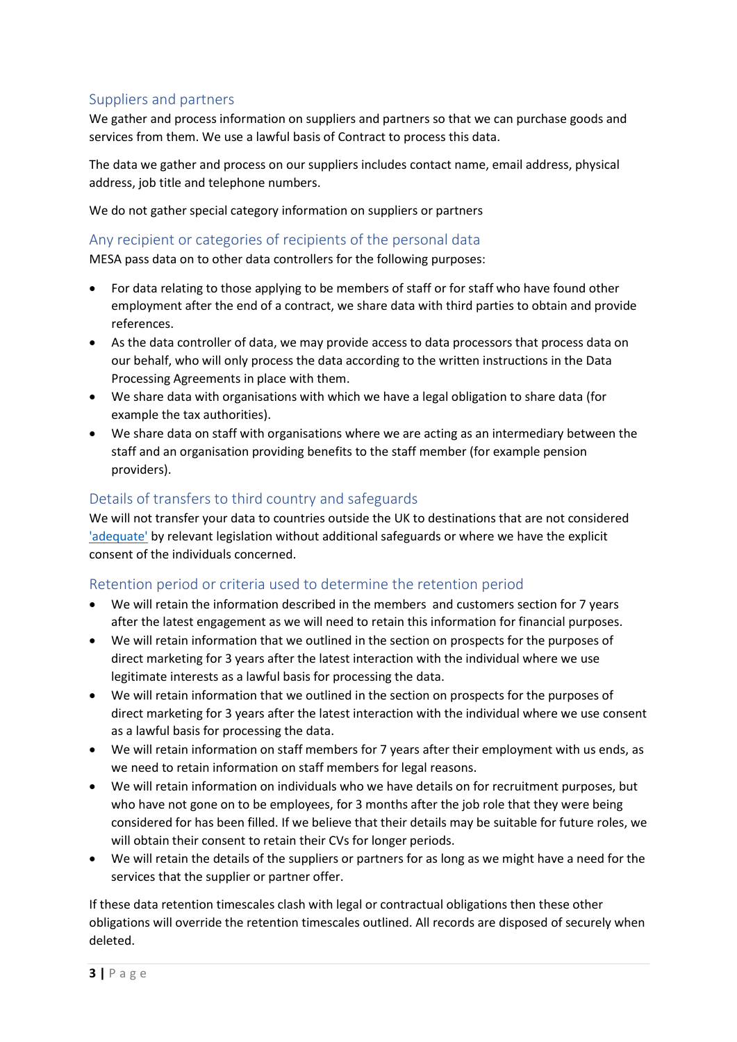#### Suppliers and partners

We gather and process information on suppliers and partners so that we can purchase goods and services from them. We use a lawful basis of Contract to process this data.

The data we gather and process on our suppliers includes contact name, email address, physical address, job title and telephone numbers.

We do not gather special category information on suppliers or partners

#### Any recipient or categories of recipients of the personal data

MESA pass data on to other data controllers for the following purposes:

- For data relating to those applying to be members of staff or for staff who have found other employment after the end of a contract, we share data with third parties to obtain and provide references.
- As the data controller of data, we may provide access to data processors that process data on our behalf, who will only process the data according to the written instructions in the Data Processing Agreements in place with them.
- We share data with organisations with which we have a legal obligation to share data (for example the tax authorities).
- We share data on staff with organisations where we are acting as an intermediary between the staff and an organisation providing benefits to the staff member (for example pension providers).

#### Details of transfers to third country and safeguards

We will not transfer your data to countries outside the UK to destinations that are not considered ['adequate'](mailto:https://ec.europa.eu/info/law/law-topic/data-protection/international-dimension-data-protection/adequacy-decisions_en) by relevant legislation without additional safeguards or where we have the explicit consent of the individuals concerned.

#### Retention period or criteria used to determine the retention period

- We will retain the information described in the members and customers section for 7 years after the latest engagement as we will need to retain this information for financial purposes.
- We will retain information that we outlined in the section on prospects for the purposes of direct marketing for 3 years after the latest interaction with the individual where we use legitimate interests as a lawful basis for processing the data.
- We will retain information that we outlined in the section on prospects for the purposes of direct marketing for 3 years after the latest interaction with the individual where we use consent as a lawful basis for processing the data.
- We will retain information on staff members for 7 years after their employment with us ends, as we need to retain information on staff members for legal reasons.
- We will retain information on individuals who we have details on for recruitment purposes, but who have not gone on to be employees, for 3 months after the job role that they were being considered for has been filled. If we believe that their details may be suitable for future roles, we will obtain their consent to retain their CVs for longer periods.
- We will retain the details of the suppliers or partners for as long as we might have a need for the services that the supplier or partner offer.

If these data retention timescales clash with legal or contractual obligations then these other obligations will override the retention timescales outlined. All records are disposed of securely when deleted.